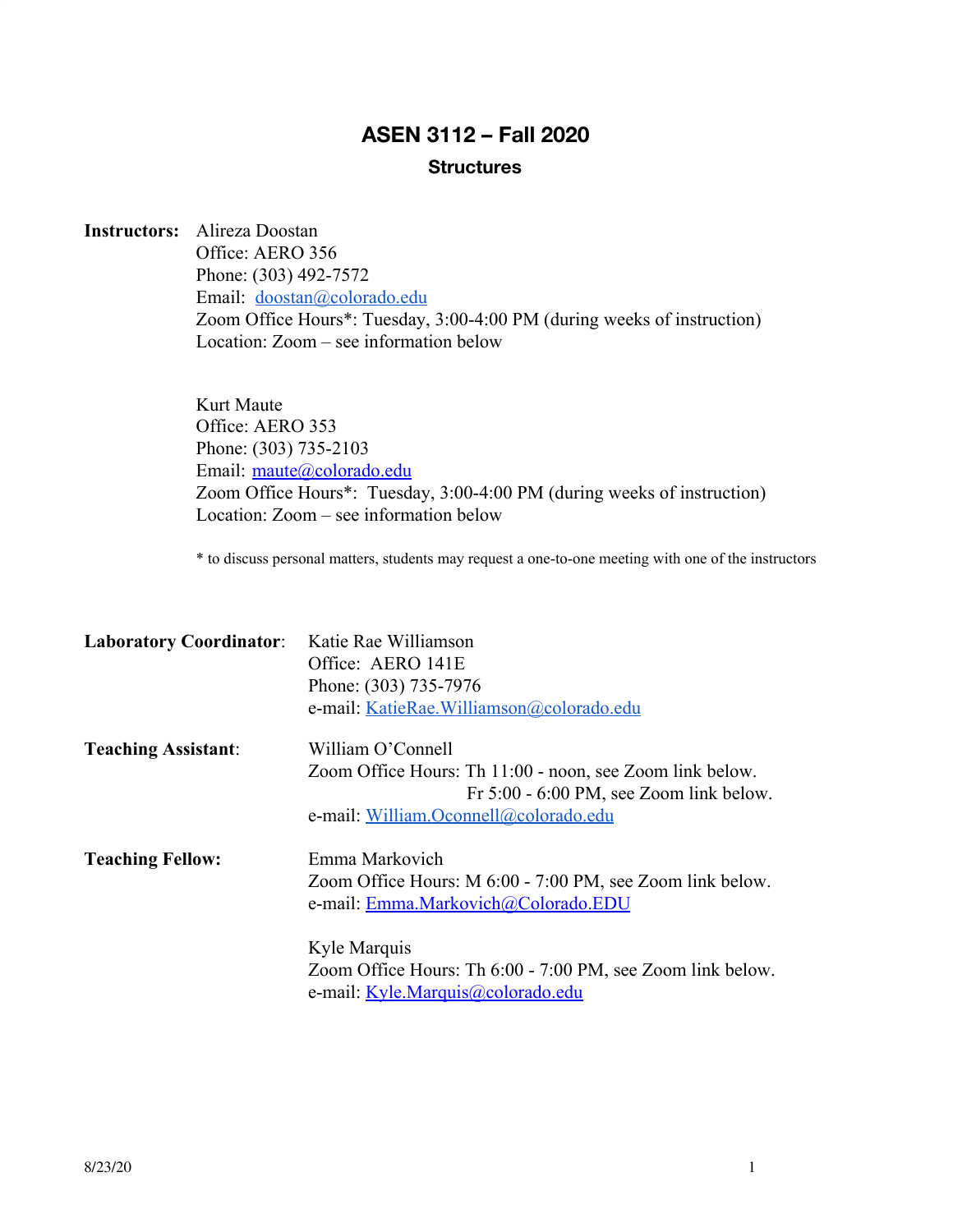# **ASEN 3112 – Fall 2020**

#### **Structures**

**Instructors:** Alireza Doostan Office: AERO 356 Phone: (303) 492-7572 Email: [doostan@colorado.edu](mailto:doostan@colorado.edu) Zoom Office Hours\*: Tuesday, 3:00-4:00 PM (during weeks of instruction) Location: Zoom – see information below

> Kurt Maute Office: AERO 353 Phone: (303) 735-2103 Email: [maute@colorado.edu](mailto:maute@colorado.edu) Zoom Office Hours\*: Tuesday, 3:00-4:00 PM (during weeks of instruction) Location: Zoom – see information below

\* to discuss personal matters, students may request a one-to-one meeting with one of the instructors

| <b>Laboratory Coordinator:</b> | Katie Rae Williamson                                                                                  |
|--------------------------------|-------------------------------------------------------------------------------------------------------|
|                                | Office: AERO 141E                                                                                     |
|                                | Phone: (303) 735-7976                                                                                 |
|                                | e-mail: KatieRae.Williamson@colorado.edu                                                              |
| <b>Teaching Assistant:</b>     | William O'Connell                                                                                     |
|                                | Zoom Office Hours: Th 11:00 - noon, see Zoom link below.<br>Fr $5:00 - 6:00$ PM, see Zoom link below. |
|                                | e-mail: William.Oconnell@colorado.edu                                                                 |
| <b>Teaching Fellow:</b>        | Emma Markovich                                                                                        |
|                                | Zoom Office Hours: M 6:00 - 7:00 PM, see Zoom link below.                                             |
|                                | e-mail: Emma.Markovich@Colorado.EDU                                                                   |
|                                | Kyle Marquis                                                                                          |
|                                | Zoom Office Hours: Th 6:00 - 7:00 PM, see Zoom link below.                                            |
|                                | e-mail: Kyle.Marquis@colorado.edu                                                                     |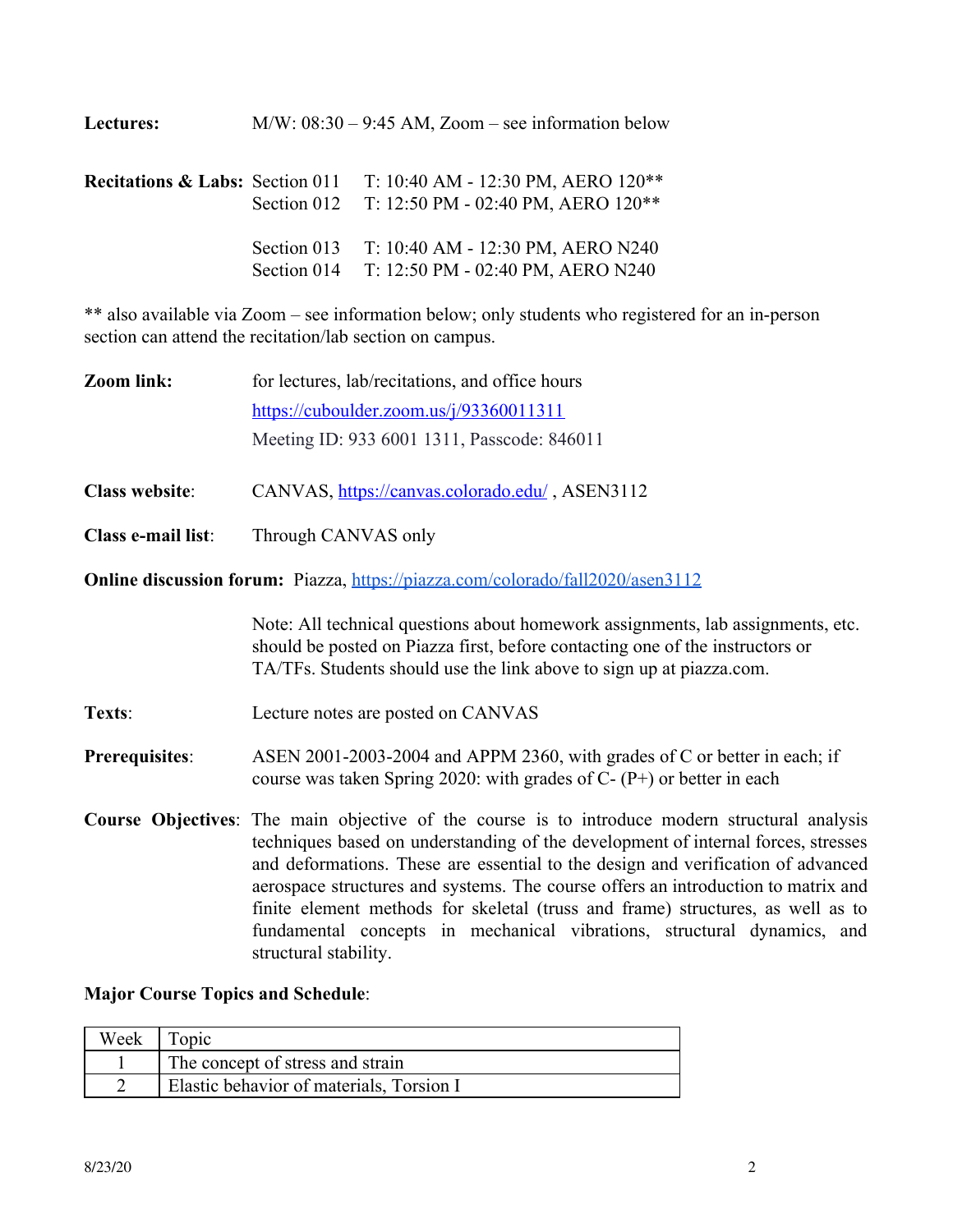| Lectures:                                  |             | $M/W$ : 08:30 – 9:45 AM, Zoom – see information below                                |
|--------------------------------------------|-------------|--------------------------------------------------------------------------------------|
| <b>Recitations &amp; Labs:</b> Section 011 |             | T: 10:40 AM - 12:30 PM, AERO 120**<br>Section 012 T: 12:50 PM - 02:40 PM, AERO 120** |
|                                            | Section 013 | T: 10:40 AM - 12:30 PM, AERO N240<br>Section 014 T: 12:50 PM - 02:40 PM, AERO N240   |

\*\* also available via Zoom – see information below; only students who registered for an in-person section can attend the recitation/lab section on campus.

| for lectures, lab/recitations, and office hours                                                                                                                                                                                                                                                                                                                                                                                                                                                                                                            |  |
|------------------------------------------------------------------------------------------------------------------------------------------------------------------------------------------------------------------------------------------------------------------------------------------------------------------------------------------------------------------------------------------------------------------------------------------------------------------------------------------------------------------------------------------------------------|--|
| https://cuboulder.zoom.us/j/93360011311                                                                                                                                                                                                                                                                                                                                                                                                                                                                                                                    |  |
| Meeting ID: 933 6001 1311, Passcode: 846011                                                                                                                                                                                                                                                                                                                                                                                                                                                                                                                |  |
| CANVAS, https://canvas.colorado.edu/, ASEN3112                                                                                                                                                                                                                                                                                                                                                                                                                                                                                                             |  |
| Through CANVAS only                                                                                                                                                                                                                                                                                                                                                                                                                                                                                                                                        |  |
| <b>Online discussion forum:</b> Piazza, https://piazza.com/colorado/fall2020/asen3112                                                                                                                                                                                                                                                                                                                                                                                                                                                                      |  |
| Note: All technical questions about homework assignments, lab assignments, etc.<br>should be posted on Piazza first, before contacting one of the instructors or<br>TA/TFs. Students should use the link above to sign up at piazza.com.                                                                                                                                                                                                                                                                                                                   |  |
| Lecture notes are posted on CANVAS                                                                                                                                                                                                                                                                                                                                                                                                                                                                                                                         |  |
| ASEN 2001-2003-2004 and APPM 2360, with grades of C or better in each; if<br>course was taken Spring 2020: with grades of $C - (P+)$ or better in each                                                                                                                                                                                                                                                                                                                                                                                                     |  |
| <b>Course Objectives:</b> The main objective of the course is to introduce modern structural analysis<br>techniques based on understanding of the development of internal forces, stresses<br>and deformations. These are essential to the design and verification of advanced<br>aerospace structures and systems. The course offers an introduction to matrix and<br>finite element methods for skeletal (truss and frame) structures, as well as to<br>fundamental concepts in mechanical vibrations, structural dynamics, and<br>structural stability. |  |
|                                                                                                                                                                                                                                                                                                                                                                                                                                                                                                                                                            |  |

## **Major Course Topics and Schedule**:

| Week | Topic                                    |
|------|------------------------------------------|
|      | The concept of stress and strain         |
|      | Elastic behavior of materials, Torsion I |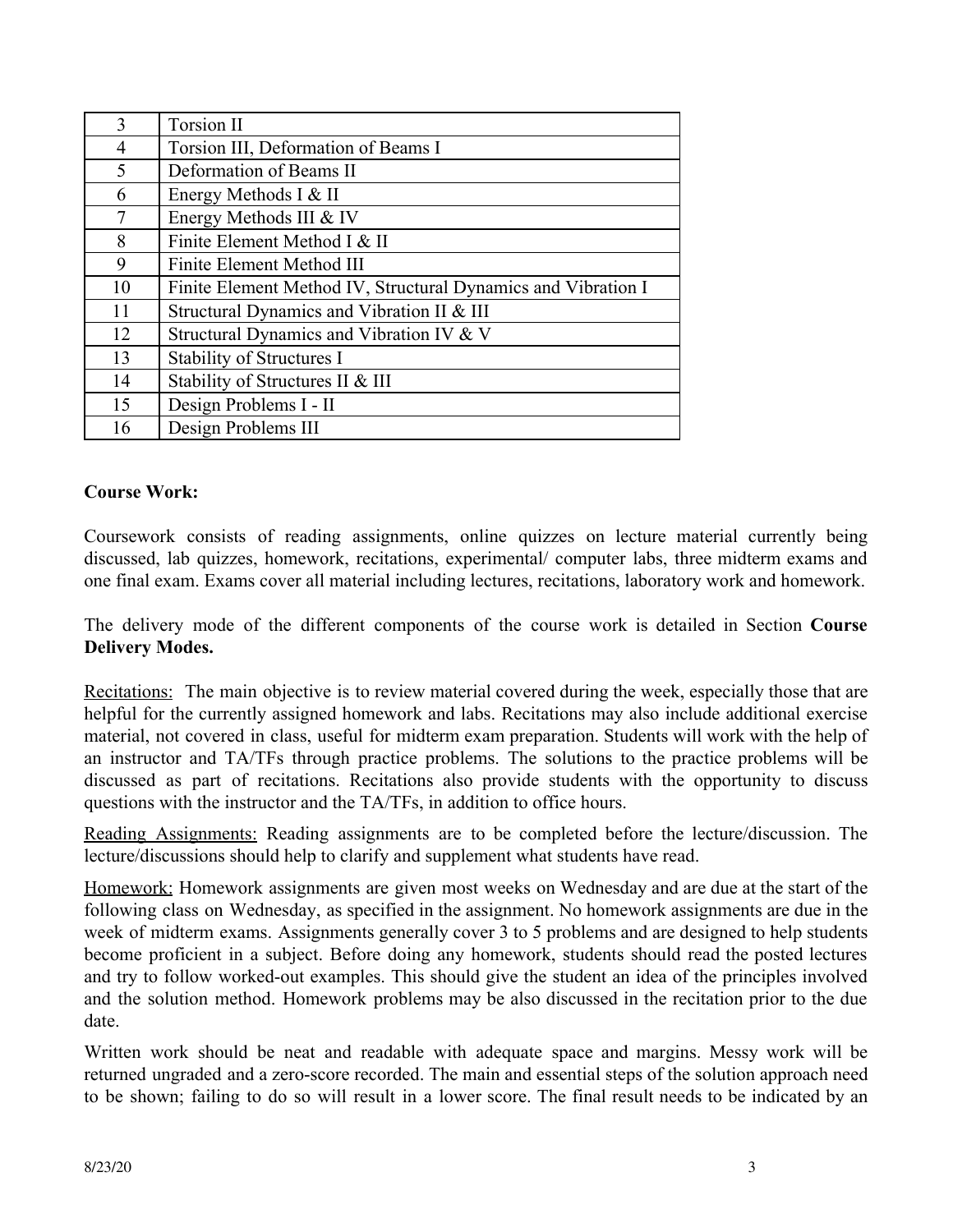| 3              | <b>Torsion II</b>                                             |
|----------------|---------------------------------------------------------------|
| $\overline{4}$ | Torsion III, Deformation of Beams I                           |
| 5              | Deformation of Beams II                                       |
| 6              | Energy Methods I & II                                         |
| 7              | Energy Methods III & IV                                       |
| 8              | Finite Element Method I & II                                  |
| 9              | Finite Element Method III                                     |
| 10             | Finite Element Method IV, Structural Dynamics and Vibration I |
| 11             | Structural Dynamics and Vibration II & III                    |
| 12             | Structural Dynamics and Vibration IV & V                      |
| 13             | Stability of Structures I                                     |
| 14             | Stability of Structures II & III                              |
| 15             | Design Problems I - II                                        |
| 16             | Design Problems III                                           |

### **Course Work:**

Coursework consists of reading assignments, online quizzes on lecture material currently being discussed, lab quizzes, homework, recitations, experimental/ computer labs, three midterm exams and one final exam. Exams cover all material including lectures, recitations, laboratory work and homework.

The delivery mode of the different components of the course work is detailed in Section **Course Delivery Modes.**

Recitations: The main objective is to review material covered during the week, especially those that are helpful for the currently assigned homework and labs. Recitations may also include additional exercise material, not covered in class, useful for midterm exam preparation. Students will work with the help of an instructor and TA/TFs through practice problems. The solutions to the practice problems will be discussed as part of recitations. Recitations also provide students with the opportunity to discuss questions with the instructor and the TA/TFs, in addition to office hours.

Reading Assignments: Reading assignments are to be completed before the lecture/discussion. The lecture/discussions should help to clarify and supplement what students have read.

Homework: Homework assignments are given most weeks on Wednesday and are due at the start of the following class on Wednesday, as specified in the assignment. No homework assignments are due in the week of midterm exams. Assignments generally cover 3 to 5 problems and are designed to help students become proficient in a subject. Before doing any homework, students should read the posted lectures and try to follow worked-out examples. This should give the student an idea of the principles involved and the solution method. Homework problems may be also discussed in the recitation prior to the due date.

Written work should be neat and readable with adequate space and margins. Messy work will be returned ungraded and a zero-score recorded. The main and essential steps of the solution approach need to be shown; failing to do so will result in a lower score. The final result needs to be indicated by an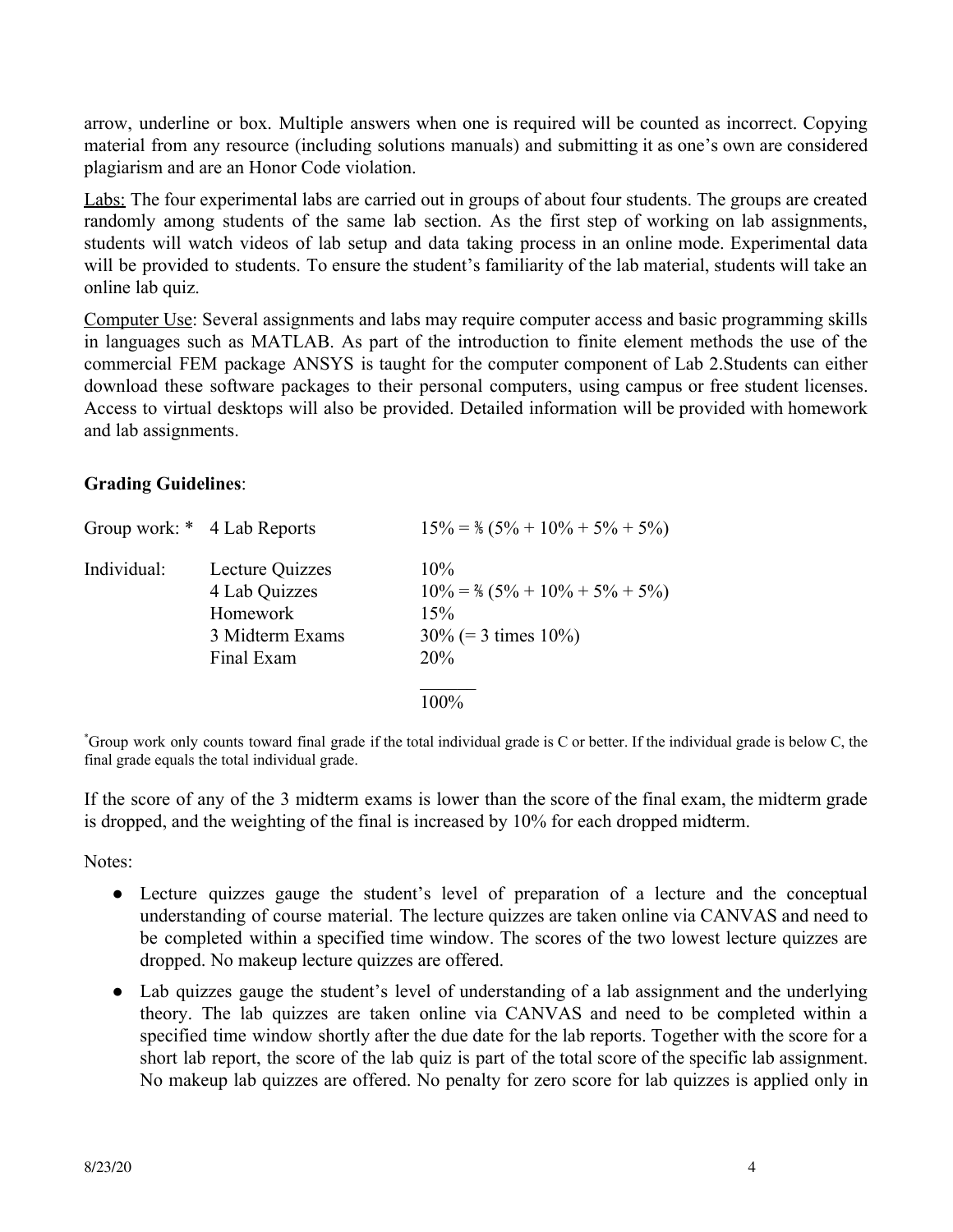arrow, underline or box. Multiple answers when one is required will be counted as incorrect. Copying material from any resource (including solutions manuals) and submitting it as one's own are considered plagiarism and are an Honor Code violation.

Labs: The four experimental labs are carried out in groups of about four students. The groups are created randomly among students of the same lab section. As the first step of working on lab assignments, students will watch videos of lab setup and data taking process in an online mode. Experimental data will be provided to students. To ensure the student's familiarity of the lab material, students will take an online lab quiz.

Computer Use: Several assignments and labs may require computer access and basic programming skills in languages such as MATLAB. As part of the introduction to finite element methods the use of the commercial FEM package ANSYS is taught for the computer component of Lab 2.Students can either download these software packages to their personal computers, using campus or free student licenses. Access to virtual desktops will also be provided. Detailed information will be provided with homework and lab assignments.

### **Grading Guidelines**:

| Group work: * 4 Lab Reports |                                                                               | $15\% =$ $\frac{1}{6}$ $(5\% + 10\% + 5\% + 5\%)$                                                |
|-----------------------------|-------------------------------------------------------------------------------|--------------------------------------------------------------------------------------------------|
| Individual:                 | Lecture Quizzes<br>4 Lab Quizzes<br>Homework<br>3 Midterm Exams<br>Final Exam | 10%<br>$10\% =$ $\frac{2}{5}$ $(5\% + 10\% + 5\% + 5\%)$<br>15%<br>$30\%$ (= 3 times 10%)<br>20% |
|                             |                                                                               | $100\%$                                                                                          |

\*Group work only counts toward final grade if the total individual grade is C or better. If the individual grade is below C, the final grade equals the total individual grade.

If the score of any of the 3 midterm exams is lower than the score of the final exam, the midterm grade is dropped, and the weighting of the final is increased by 10% for each dropped midterm.

Notes:

- Lecture quizzes gauge the student's level of preparation of a lecture and the conceptual understanding of course material. The lecture quizzes are taken online via CANVAS and need to be completed within a specified time window. The scores of the two lowest lecture quizzes are dropped. No makeup lecture quizzes are offered.
- Lab quizzes gauge the student's level of understanding of a lab assignment and the underlying theory. The lab quizzes are taken online via CANVAS and need to be completed within a specified time window shortly after the due date for the lab reports. Together with the score for a short lab report, the score of the lab quiz is part of the total score of the specific lab assignment. No makeup lab quizzes are offered. No penalty for zero score for lab quizzes is applied only in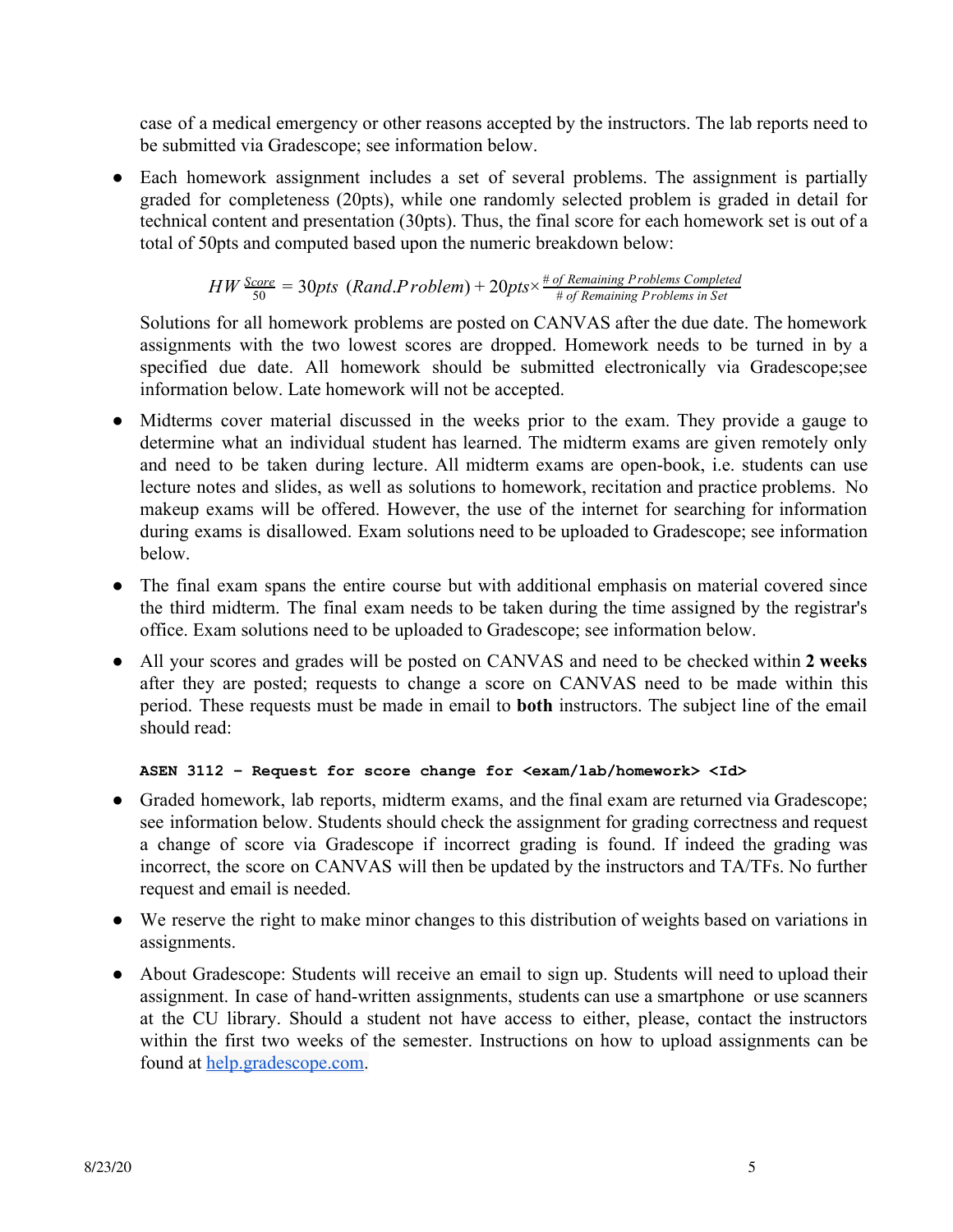case of a medical emergency or other reasons accepted by the instructors. The lab reports need to be submitted via Gradescope; see information below.

• Each homework assignment includes a set of several problems. The assignment is partially graded for completeness (20pts), while one randomly selected problem is graded in detail for technical content and presentation (30pts). Thus, the final score for each homework set is out of a total of 50pts and computed based upon the numeric breakdown below:

*HW* 
$$
\frac{Score}{50}
$$
 = 30*pts* (*Rand.P roblem*) + 20*pts*  $\times \frac{\# of$  *Remaining Problems Conpletely Set to the of Remaining Problems in Set*

Solutions for all homework problems are posted on CANVAS after the due date. The homework assignments with the two lowest scores are dropped. Homework needs to be turned in by a specified due date. All homework should be submitted electronically via Gradescope;see information below. Late homework will not be accepted.

- Midterms cover material discussed in the weeks prior to the exam. They provide a gauge to determine what an individual student has learned. The midterm exams are given remotely only and need to be taken during lecture. All midterm exams are open-book, i.e. students can use lecture notes and slides, as well as solutions to homework, recitation and practice problems. No makeup exams will be offered. However, the use of the internet for searching for information during exams is disallowed. Exam solutions need to be uploaded to Gradescope; see information below.
- The final exam spans the entire course but with additional emphasis on material covered since the third midterm. The final exam needs to be taken during the time assigned by the registrar's office. Exam solutions need to be uploaded to Gradescope; see information below.
- All your scores and grades will be posted on CANVAS and need to be checked within **2 weeks** after they are posted; requests to change a score on CANVAS need to be made within this period. These requests must be made in email to **both** instructors. The subject line of the email should read:

### **ASEN 3112 – Request for score change for <exam/lab/homework> <Id>**

- Graded homework, lab reports, midterm exams, and the final exam are returned via Gradescope; see information below. Students should check the assignment for grading correctness and request a change of score via Gradescope if incorrect grading is found. If indeed the grading was incorrect, the score on CANVAS will then be updated by the instructors and TA/TFs. No further request and email is needed.
- We reserve the right to make minor changes to this distribution of weights based on variations in assignments.
- About Gradescope: Students will receive an email to sign up. Students will need to upload their assignment. In case of hand-written assignments, students can use a smartphone or use scanners at the CU library. Should a student not have access to either, please, contact the instructors within the first two weeks of the semester. Instructions on how to upload assignments can be found at [help.gradescope.com.](http://help.gradescope.com/)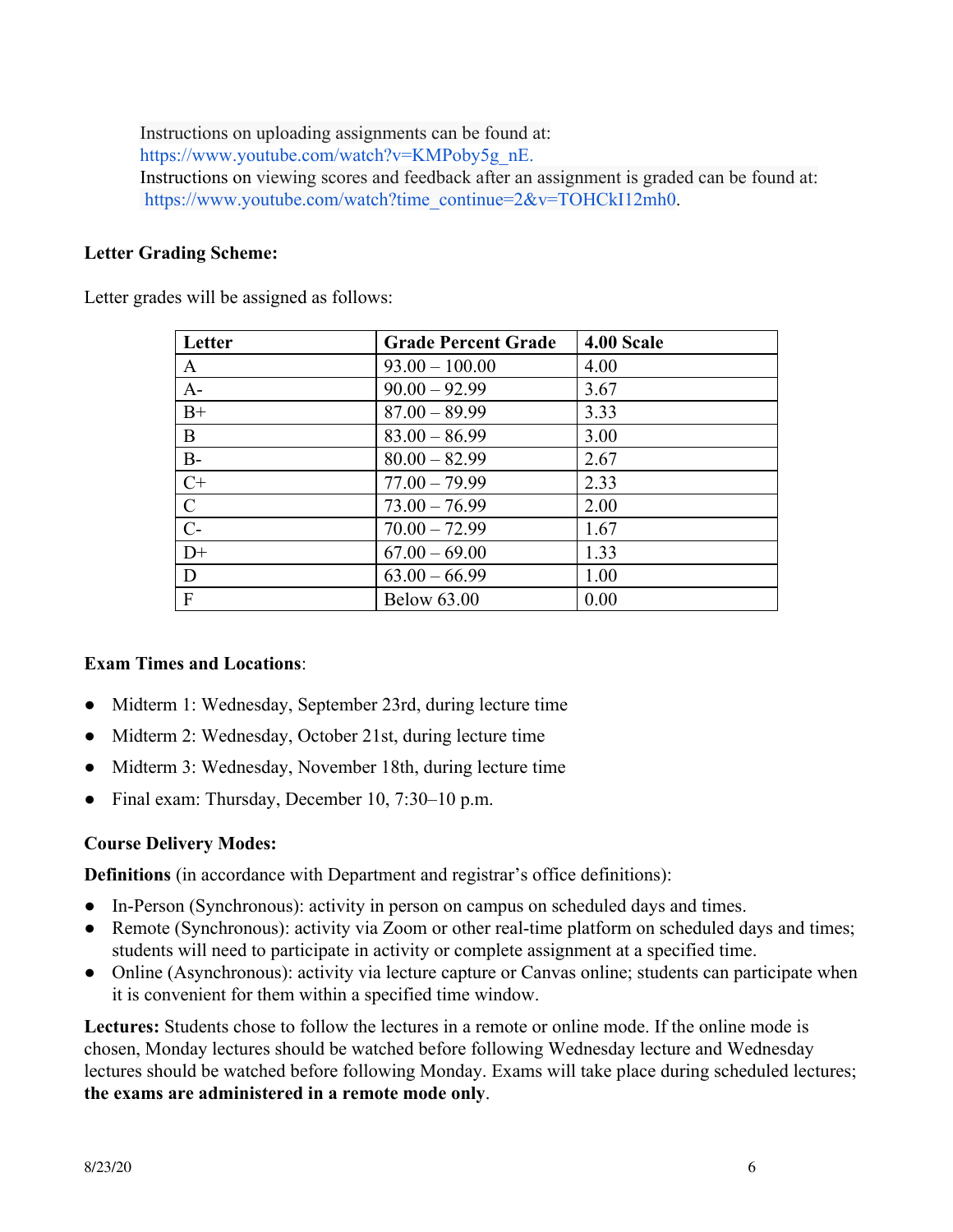Instructions on uploading assignments can be found at:

[https://www.youtube.com/watch?v=KMPoby5g\\_nE](https://www.youtube.com/watch?v=KMPoby5g_nE).

Instructions on viewing scores and feedback after an assignment is graded can be found at: [https://www.youtube.com/watch?time\\_continue=2&v=TOHCkI12mh0](https://www.youtube.com/watch?time_continue=2&v=TOHCkI12mh0).

#### **Letter Grading Scheme:**

Letter grades will be assigned as follows:

| Letter        | <b>Grade Percent Grade</b> | 4.00 Scale |
|---------------|----------------------------|------------|
| $\mathbf{A}$  | $93.00 - 100.00$           | 4.00       |
| $A-$          | $90.00 - 92.99$            | 3.67       |
| $B+$          | $87.00 - 89.99$            | 3.33       |
| B             | $83.00 - 86.99$            | 3.00       |
| $B-$          | $80.00 - 82.99$            | 2.67       |
| $C+$          | $77.00 - 79.99$            | 2.33       |
| $\mathcal{C}$ | $73.00 - 76.99$            | 2.00       |
| $C-$          | $70.00 - 72.99$            | 1.67       |
| $D+$          | $67.00 - 69.00$            | 1.33       |
| D             | $63.00 - 66.99$            | 1.00       |
| $\mathbf{F}$  | <b>Below 63.00</b>         | 0.00       |

### **Exam Times and Locations**:

- Midterm 1: Wednesday, September 23rd, during lecture time
- Midterm 2: Wednesday, October 21st, during lecture time
- Midterm 3: Wednesday, November 18th, during lecture time
- Final exam: Thursday, December 10, 7:30–10 p.m.

### **Course Delivery Modes:**

**Definitions** (in accordance with Department and registrar's office definitions):

- In-Person (Synchronous): activity in person on campus on scheduled days and times.
- Remote (Synchronous): activity via Zoom or other real-time platform on scheduled days and times; students will need to participate in activity or complete assignment at a specified time.
- Online (Asynchronous): activity via lecture capture or Canvas online; students can participate when it is convenient for them within a specified time window.

**Lectures:** Students chose to follow the lectures in a remote or online mode. If the online mode is chosen, Monday lectures should be watched before following Wednesday lecture and Wednesday lectures should be watched before following Monday. Exams will take place during scheduled lectures; **the exams are administered in a remote mode only**.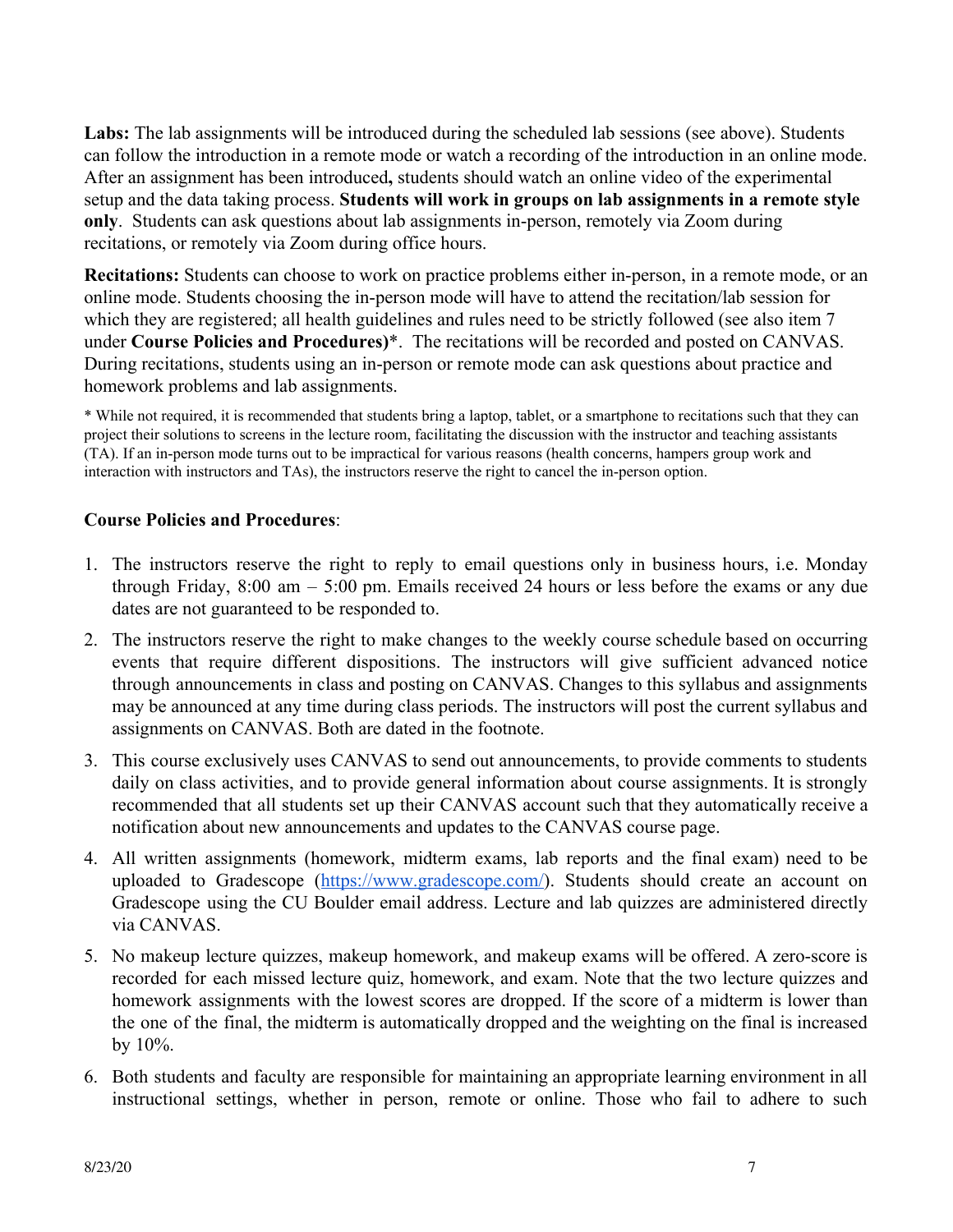**Labs:** The lab assignments will be introduced during the scheduled lab sessions (see above). Students can follow the introduction in a remote mode or watch a recording of the introduction in an online mode. After an assignment has been introduced**,** students should watch an online video of the experimental setup and the data taking process. **Students will work in groups on lab assignments in a remote style only**. Students can ask questions about lab assignments in-person, remotely via Zoom during recitations, or remotely via Zoom during office hours.

**Recitations:** Students can choose to work on practice problems either in-person, in a remote mode, or an online mode. Students choosing the in-person mode will have to attend the recitation/lab session for which they are registered; all health guidelines and rules need to be strictly followed (see also item 7 under **Course Policies and Procedures)**\*. The recitations will be recorded and posted on CANVAS. During recitations, students using an in-person or remote mode can ask questions about practice and homework problems and lab assignments.

\* While not required, it is recommended that students bring a laptop, tablet, or a smartphone to recitations such that they can project their solutions to screens in the lecture room, facilitating the discussion with the instructor and teaching assistants (TA). If an in-person mode turns out to be impractical for various reasons (health concerns, hampers group work and interaction with instructors and TAs), the instructors reserve the right to cancel the in-person option.

### **Course Policies and Procedures**:

- 1. The instructors reserve the right to reply to email questions only in business hours, i.e. Monday through Friday, 8:00 am – 5:00 pm. Emails received 24 hours or less before the exams or any due dates are not guaranteed to be responded to.
- 2. The instructors reserve the right to make changes to the weekly course schedule based on occurring events that require different dispositions. The instructors will give sufficient advanced notice through announcements in class and posting on CANVAS. Changes to this syllabus and assignments may be announced at any time during class periods. The instructors will post the current syllabus and assignments on CANVAS. Both are dated in the footnote.
- 3. This course exclusively uses CANVAS to send out announcements, to provide comments to students daily on class activities, and to provide general information about course assignments. It is strongly recommended that all students set up their CANVAS account such that they automatically receive a notification about new announcements and updates to the CANVAS course page.
- 4. All written assignments (homework, midterm exams, lab reports and the final exam) need to be uploaded to Gradescope [\(https://www.gradescope.com/\)](https://www.gradescope.com/). Students should create an account on Gradescope using the CU Boulder email address. Lecture and lab quizzes are administered directly via CANVAS.
- 5. No makeup lecture quizzes, makeup homework, and makeup exams will be offered. A zero-score is recorded for each missed lecture quiz, homework, and exam. Note that the two lecture quizzes and homework assignments with the lowest scores are dropped. If the score of a midterm is lower than the one of the final, the midterm is automatically dropped and the weighting on the final is increased by 10%.
- 6. Both students and faculty are responsible for maintaining an appropriate learning environment in all instructional settings, whether in person, remote or online. Those who fail to adhere to such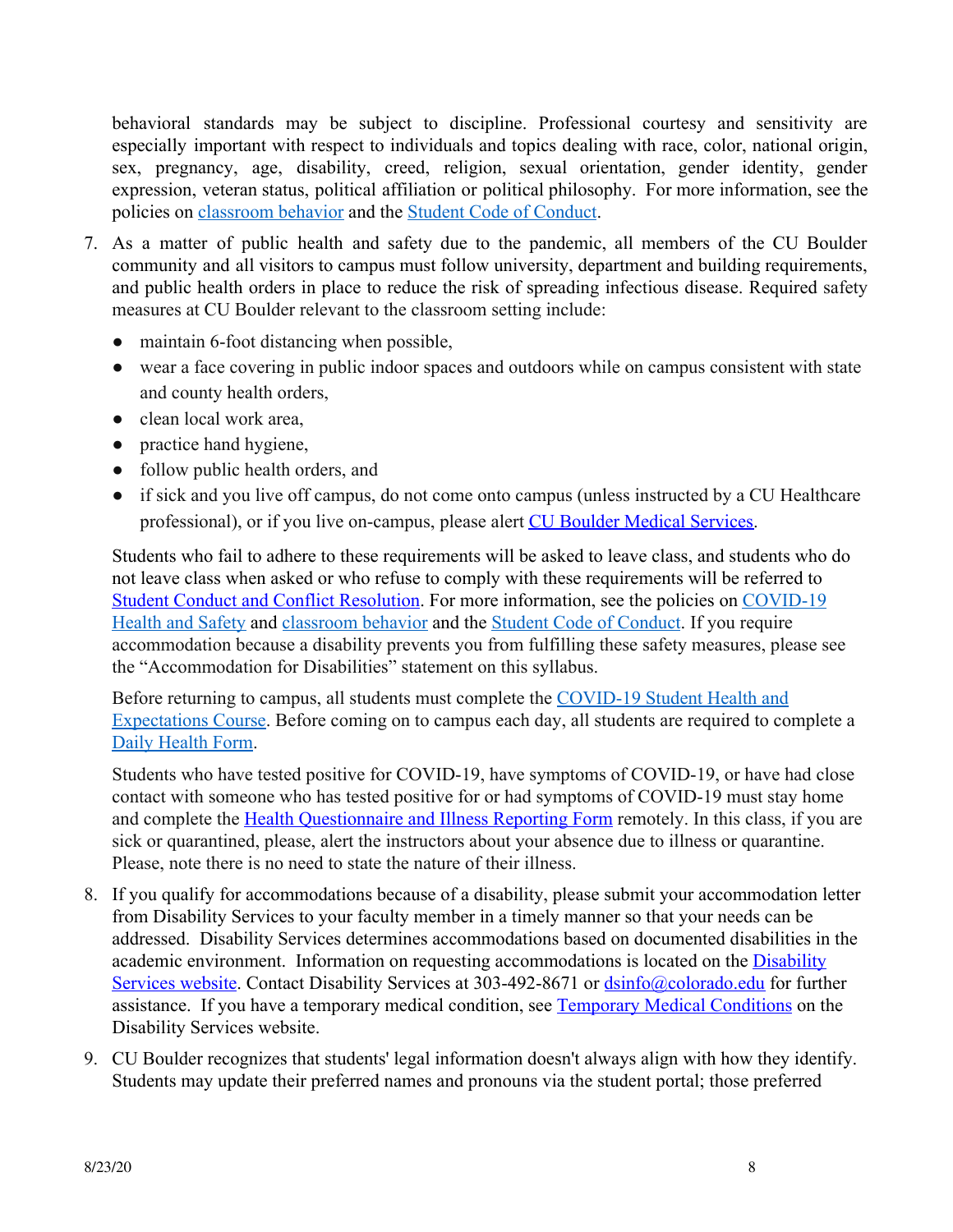behavioral standards may be subject to discipline. Professional courtesy and sensitivity are especially important with respect to individuals and topics dealing with race, color, national origin, sex, pregnancy, age, disability, creed, religion, sexual orientation, gender identity, gender expression, veteran status, political affiliation or political philosophy. For more information, see the policies on [classroom behavior](http://www.colorado.edu/policies/student-classroom-and-course-related-behavior) and the [Student Code of Conduct](https://www.colorado.edu/sccr/sites/default/files/attached-files/2020-2021_student_code_of_conduct_0.pdf).

- 7. As a matter of public health and safety due to the pandemic, all members of the CU Boulder community and all visitors to campus must follow university, department and building requirements, and public health orders in place to reduce the risk of spreading infectious disease. Required safety measures at CU Boulder relevant to the classroom setting include:
	- maintain 6-foot distancing when possible,
	- wear a face covering in public indoor spaces and outdoors while on campus consistent with state and county health orders,
	- clean local work area,
	- practice hand hygiene,
	- follow public health orders, and
	- if sick and you live off campus, do not come onto campus (unless instructed by a CU Healthcare professional), or if you live on-campus, please alert [CU Boulder Medical Services](https://www.colorado.edu/healthcenter/coronavirus-updates/symptoms-and-what-do-if-you-feel-sick).

Students who fail to adhere to these requirements will be asked to leave class, and students who do not leave class when asked or who refuse to comply with these requirements will be referred to [Student Conduct and Conflict Resolution.](https://www.colorado.edu/sccr/) For more information, see the policies on [COVID-19](https://www.colorado.edu/policies/covid-19-health-and-safety-policy) [Health and Safety](https://www.colorado.edu/policies/covid-19-health-and-safety-policy) and [classroom behavior](http://www.colorado.edu/policies/student-classroom-and-course-related-behavior) and the [Student Code of Conduct](https://www.colorado.edu/sccr/sites/default/files/attached-files/2020-2021_student_code_of_conduct_0.pdf). If you require accommodation because a disability prevents you from fulfilling these safety measures, please see the "Accommodation for Disabilities" statement on this syllabus.

Before returning to campus, all students must complete the [COVID-19 Student Health and](https://www.colorado.edu/protect-our-herd/how#anchor1) [Expectations Course.](https://www.colorado.edu/protect-our-herd/how#anchor1) Before coming on to campus each day, all students are required to complete a [Daily Health Form.](https://www.colorado.edu/protect-our-herd/daily-health-form)

Students who have tested positive for COVID-19, have symptoms of COVID-19, or have had close contact with someone who has tested positive for or had symptoms of COVID-19 must stay home and complete the [Health Questionnaire and Illness Reporting Form](https://www.colorado.edu/protect-our-herd/daily-health-form) remotely. In this class, if you are sick or quarantined, please, alert the instructors about your absence due to illness or quarantine. Please, note there is no need to state the nature of their illness.

- 8. If you qualify for accommodations because of a disability, please submit your accommodation letter from Disability Services to your faculty member in a timely manner so that your needs can be addressed. Disability Services determines accommodations based on documented disabilities in the academic environment. Information on requesting accommodations is located on the [Disability](https://www.colorado.edu/disabilityservices/) [Services website](https://www.colorado.edu/disabilityservices/). Contact Disability Services at 303-492-8671 or  $\frac{d \sin 6(a) \cos 2b \cos 2b}{d \sin 2b \cos 2b}$  for further assistance. If you have a temporary medical condition, see [Temporary Medical Conditions](http://www.colorado.edu/disabilityservices/students/temporary-medical-conditions) on the Disability Services website.
- 9. CU Boulder recognizes that students' legal information doesn't always align with how they identify. Students may update their preferred names and pronouns via the student portal; those preferred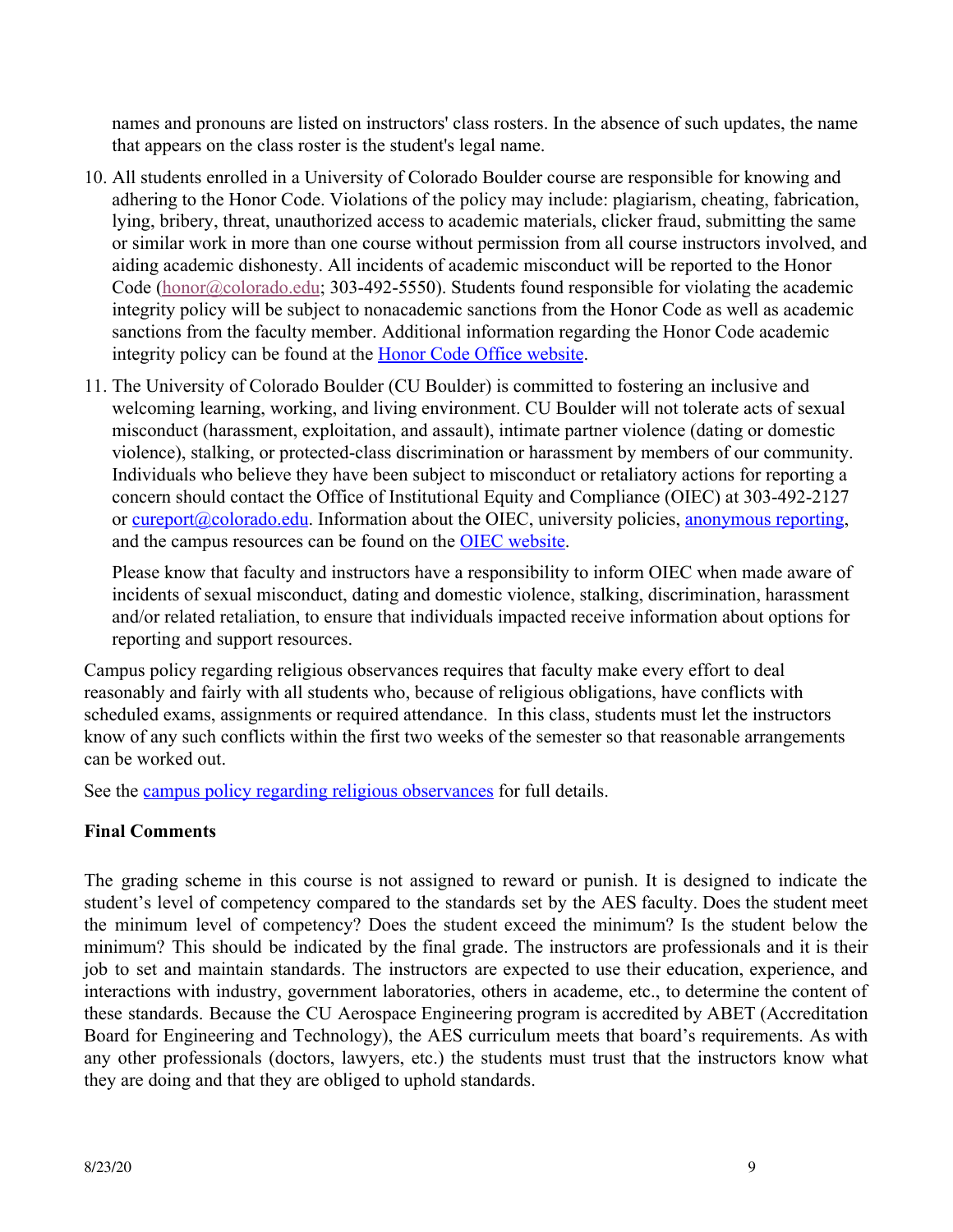names and pronouns are listed on instructors' class rosters. In the absence of such updates, the name that appears on the class roster is the student's legal name.

- 10. All students enrolled in a University of Colorado Boulder course are responsible for knowing and adhering to the Honor Code. Violations of the policy may include: plagiarism, cheating, fabrication, lying, bribery, threat, unauthorized access to academic materials, clicker fraud, submitting the same or similar work in more than one course without permission from all course instructors involved, and aiding academic dishonesty. All incidents of academic misconduct will be reported to the Honor Code [\(honor@colorado.edu;](mailto:honor@colorado.edu) 303-492-5550). Students found responsible for violating the academic integrity policy will be subject to nonacademic sanctions from the Honor Code as well as academic sanctions from the faculty member. Additional information regarding the Honor Code academic integrity policy can be found at the [Honor Code Office website](https://www.colorado.edu/osccr/honor-code).
- 11. The University of Colorado Boulder (CU Boulder) is committed to fostering an inclusive and welcoming learning, working, and living environment. CU Boulder will not tolerate acts of sexual misconduct (harassment, exploitation, and assault), intimate partner violence (dating or domestic violence), stalking, or protected-class discrimination or harassment by members of our community. Individuals who believe they have been subject to misconduct or retaliatory actions for reporting a concern should contact the Office of Institutional Equity and Compliance (OIEC) at 303-492-2127 or [cureport@colorado.edu](mailto:cureport@colorado.edu). Information about the OIEC, university policies, [anonymous reporting](https://cuboulder.qualtrics.com/jfe/form/SV_0PnqVK4kkIJIZnf), and the campus resources can be found on the [OIEC website](http://www.colorado.edu/institutionalequity/).

Please know that faculty and instructors have a responsibility to inform OIEC when made aware of incidents of sexual misconduct, dating and domestic violence, stalking, discrimination, harassment and/or related retaliation, to ensure that individuals impacted receive information about options for reporting and support resources.

Campus policy regarding religious observances requires that faculty make every effort to deal reasonably and fairly with all students who, because of religious obligations, have conflicts with scheduled exams, assignments or required attendance. In this class, students must let the instructors know of any such conflicts within the first two weeks of the semester so that reasonable arrangements can be worked out.

See the [campus policy regarding religious observances](http://www.colorado.edu/policies/observance-religious-holidays-and-absences-classes-andor-exams) for full details.

## **Final Comments**

The grading scheme in this course is not assigned to reward or punish. It is designed to indicate the student's level of competency compared to the standards set by the AES faculty. Does the student meet the minimum level of competency? Does the student exceed the minimum? Is the student below the minimum? This should be indicated by the final grade. The instructors are professionals and it is their job to set and maintain standards. The instructors are expected to use their education, experience, and interactions with industry, government laboratories, others in academe, etc., to determine the content of these standards. Because the CU Aerospace Engineering program is accredited by ABET (Accreditation Board for Engineering and Technology), the AES curriculum meets that board's requirements. As with any other professionals (doctors, lawyers, etc.) the students must trust that the instructors know what they are doing and that they are obliged to uphold standards.